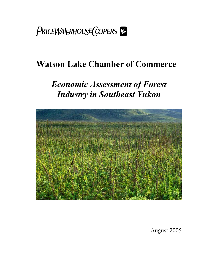

# **Watson Lake Chamber of Commerce**

# *Economic Assessment of Forest Industry in Southeast Yukon*



August 2005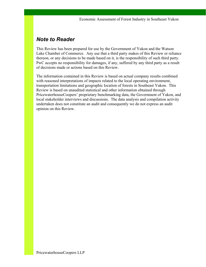## *Note to Reader*

This Review has been prepared for use by the Government of Yukon and the Watson Lake Chamber of Commerce. Any use that a third party makes of this Review or reliance thereon, or any decisions to be made based on it, is the responsibility of such third party. PwC accepts no responsibility for damages, if any, suffered by any third party as a result of decisions made or actions based on this Review.

The information contained in this Review is based on actual company results combined with reasoned interpretations of impacts related to the local operating environment, transportation limitations and geographic location of forests in Southeast Yukon. This Review is based on unaudited statistical and other information obtained through PricewaterhouseCoopers' proprietary benchmarking data, the Government of Yukon, and local stakeholder interviews and discussions. The data analysis and compilation activity undertaken does not constitute an audit and consequently we do not express an audit opinion on this Review.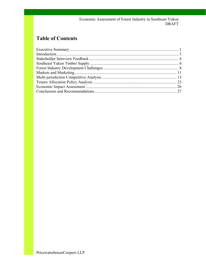#### Economic Assessment of Forest Industry in Southeast Yukon **DRAFT**

## **Table of Contents**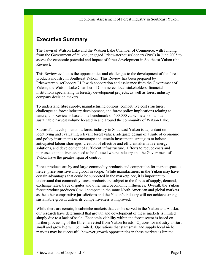## **Executive Summary**

The Town of Watson Lake and the Watson Lake Chamber of Commerce, with funding from the Government of Yukon, engaged PricewaterhouseCoopers (PwC) in June 2005 to assess the economic potential and impact of forest development in Southeast Yukon (the Review).

This Review evaluates the opportunities and challenges to the development of the forest products industry in Southeast Yukon. This Review has been prepared by PricewaterhouseCoopers LLP with cooperation and assistance from the Government of Yukon, the Watson Lake Chamber of Commerce, local stakeholders, financial institutions specializing in forestry development projects, as well as forest industry company decision makers.

To understand fibre supply, manufacturing options, competitive cost structures, challenges to forest industry development, and forest policy implications relating to tenure, this Review is based on a benchmark of 500,000 cubic meters of annual sustainable harvest volume located in and around the community of Watson Lake.

Successful development of a forest industry in Southeast Yukon is dependant on identifying and evaluating relevant forest values, adequate design of a suite of economic and policy instruments to encourage and sustain investment, strategies to bolster anticipated labour shortages, creation of effective and efficient alternative energy solutions, and development of sufficient infrastructure. Efforts to reduce costs and increase competitiveness need to be focused where industry and the Government of Yukon have the greatest span of control.

Forest products are by and large commodity products and competition for market space is fierce, price sensitive and global in scope. While manufacturers in the Yukon may have certain advantages that could be supported in the marketplace, it is important to understand that commodity forest products are subject to the forces of supply, demand, exchange rates, trade disputes and other macroeconomic influences. Overall, the Yukon forest product producer(s) will compete in the same North American and global markets as the other comparative jurisdictions and the Yukon's industry will not achieve strong sustainable growth unless its competitiveness is improved.

While there are certain, local/niche markets that can be served in the Yukon and Alaska, our research have determined that growth and development of these markets is limited simply due to a lack of scale. Economic viability within the forest sector is based on further processing of the fibre harvested from Yukon forests. Options for industry to start small and grow big will be limited. Operations that start small and supply local niche markets may be successful, however growth opportunities in these markets is limited.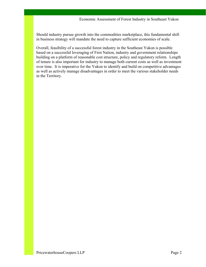Should industry pursue growth into the commodities marketplace, this fundamental shift in business strategy will mandate the need to capture sufficient economies of scale.

Overall, feasibility of a successful forest industry in the Southeast Yukon is possible based on a successful leveraging of First Nation, industry and government relationships building on a platform of reasonable cost structure, policy and regulatory reform. Length of tenure is also important for industry to manage both current costs as well as investment over time. It is imperative for the Yukon to identify and build on competitive advantages as well as actively manage disadvantages in order to meet the various stakeholder needs in the Territory.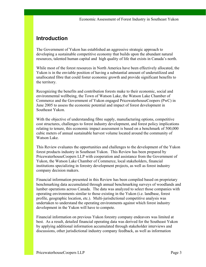## **Introduction**

The Government of Yukon has established an aggressive strategic approach to developing a sustainable competitive economy that builds upon the abundant natural resources, talented human capital and high quality of life that exists in Canada's north.

While most of the forest resources in North America have been effectively allocated, the Yukon is in the enviable position of having a substantial amount of underutilized and unallocated fibre that could foster economic growth and provide significant benefits to the territory.

Recognizing the benefits and contribution forests make to their economic, social and environmental wellbeing, the Town of Watson Lake, the Watson Lake Chamber of Commerce and the Government of Yukon engaged PricewaterhouseCoopers (PwC) in June 2005 to assess the economic potential and impact of forest development in Southeast Yukon.

With the objective of understanding fibre supply, manufacturing options, competitive cost structures, challenges to forest industry development, and forest policy implications relating to tenure, this economic impact assessment is based on a benchmark of 500,000 cubic meters of annual sustainable harvest volume located around the community of Watson Lake.

This Review evaluates the opportunities and challenges to the development of the Yukon forest products industry in Southeast Yukon. This Review has been prepared by PricewaterhouseCoopers LLP with cooperation and assistance from the Government of Yukon, the Watson Lake Chamber of Commerce, local stakeholders, financial institutions specializing in forestry development projects, as well as forest industry company decision makers.

Financial information presented in this Review has been compiled based on proprietary benchmarking data accumulated through annual benchmarking surveys of woodlands and lumber operations across Canada. The data was analyzed to select those companies with operating environments similar to those existing in the Yukon (i.e. landbase, forest profile, geographic location, etc.). Multi-jurisdictional competitive analysis was undertaken to understand the operating environments against which forest industry development in the Yukon will have to compete.

Financial information on previous Yukon forestry company endeavors was limited at best. As a result, detailed financial operating data was derived for the Southeast Yukon by applying additional information accumulated through stakeholder interviews and discussions, other jurisdictional industry company feedback, as well as information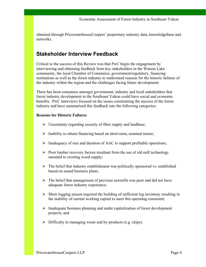obtained through PricewaterhouseCoopers' proprietary industry data, knowledgebase and networks.

### **Stakeholder Interview Feedback**

Critical to the success of this Review was that PwC begin the engagement by interviewing and obtaining feedback from key stakeholders in the Watson Lake community, the local Chamber of Commerce, government/regulatory, financing institutions as well as the forest industry to understand reasons for the historic failures of the industry within the region and the challenges facing future development.

There has been consensus amongst government, industry and local stakeholders that forest industry development in the Southeast Yukon could have social and economic benefits. PwC interviews focused on the issues constraining the success of the forest industry and have summarized this feedback into the following categories:

#### **Reasons for Historic Failures**

- $\triangleright$  Uncertainty regarding security of fibre supply and landbase;
- $\triangleright$  Inability to obtain financing based on short-term, nominal tenure;
- $\triangleright$  Inadequacy of size and duration of AAC to support profitable operations;
- $\triangleright$  Poor lumber recovery factors resultant from the use of old mill technology unsuited to existing wood supply;
- $\triangleright$  The belief that industry establishment was politically sponsored vs. established based on sound business plans;
- $\triangleright$  The belief that management of previous sawmills was poor and did not have adequate forest industry experience;
- $\triangleright$  Short logging season required the building of sufficient log inventory resulting in the inability of current working capital to meet this operating constraint;
- $\triangleright$  Inadequate business planning and under capitalization of forest development projects; and
- $\triangleright$  Difficulty in managing waste and by-products (e.g. chips).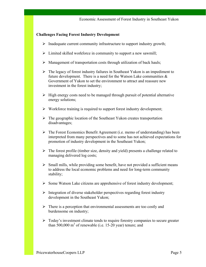#### **Challenges Facing Forest Industry Development**

- $\triangleright$  Inadequate current community infrastructure to support industry growth;
- $\triangleright$  Limited skilled workforce in community to support a new sawmill;
- $\triangleright$  Management of transportation costs through utilization of back hauls;
- $\triangleright$  The legacy of forest industry failures in Southeast Yukon is an impediment to future development. There is a need for the Watson Lake communities  $\&$ Government of Yukon to set the environment to attract and reassure new investment in the forest industry;
- $\triangleright$  High energy costs need to be managed through pursuit of potential alternative energy solutions;
- $\triangleright$  Workforce training is required to support forest industry development;
- $\triangleright$  The geographic location of the Southeast Yukon creates transportation disadvantages;
- $\triangleright$  The Forest Economics Benefit Agreement (i.e. memo of understanding) has been interpreted from many perspectives and to some has not achieved expectations for promotion of industry development in the Southeast Yukon;
- $\triangleright$  The forest profile (timber size, density and yield) presents a challenge related to managing delivered log costs;
- $\triangleright$  Small mills, while providing some benefit, have not provided a sufficient means to address the local economic problems and need for long-term community stability;
- $\triangleright$  Some Watson Lake citizens are apprehensive of forest industry development;
- $\triangleright$  Integration of diverse stakeholder perspectives regarding forest industry development in the Southeast Yukon;
- $\triangleright$  There is a perception that environmental assessments are too costly and burdensome on industry;
- $\triangleright$  Today's investment climate tends to require forestry companies to secure greater than  $500,000$  m<sup>3</sup> of renewable (i.e. 15-20 year) tenure; and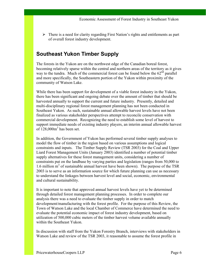$\triangleright$  There is a need for clarity regarding First Nation's rights and entitlements as part of overall forest industry development.

## **Southeast Yukon Timber Supply**

The forests in the Yukon are on the northwest edge of the Canadian boreal forest, becoming relatively sparse within the central and northern areas of the territory as it gives way to the tundra. Much of the commercial forest can be found below the  $62<sup>nd</sup>$  parallel and more specifically, the Southeastern portion of the Yukon within proximity of the community of Watson Lake.

While there has been support for development of a viable forest industry in the Yukon, there has been significant and ongoing debate over the amount of timber that should be harvested annually to support the current and future industry. Presently, detailed and multi-disciplinary regional forest management planning has not been conducted in Southeast Yukon. As such, sustainable annual allowable harvest levels have not been finalized as various stakeholder perspectives attempt to reconcile conservation with commercial development. Recognizing the need to establish some level of harvest to support immediate needs of existing industry players, an interim annual allowable harvest of  $128,000m^3$  has been set.

In addition, the Government of Yukon has performed several timber supply analyses to model the flow of timber in the region based on various assumptions and logical constraints and inputs. The Timber Supply Review (TSR 2003) for the Coal and Upper Liard Forest Management Units (January 2003) identified a number of potential timber supply alternatives for these forest management units, considering a number of constraints put on the landbase by varying parties and legislation (ranges from 50,000 to 1.6 million m<sup>3</sup> of sustainable annual harvest have been shown). The purpose of the TSR 2003 is to serve as an information source for which future planning can use as necessary to understand the linkages between harvest level and social, economic, environmental and cultural sustainability.

It is important to note that approved annual harvest levels have yet to be determined through detailed forest management planning processes. In order to complete our analysis there was a need to evaluate the timber supply in order to match development/manufacturing with the forest profile. For the purpose of this Review, the Town of Watson Lake and the local Chamber of Commerce have determined the need to evaluate the potential economic impact of forest industry development, based on utilization of 500,000 cubic meters of the timber harvest volume available annually within the Southeast Yukon.

In discussion with staff from the Yukon Forestry Branch, interviews with stakeholders in Watson Lake and review of the TSR 2003, it reasonable to assume the forest profile in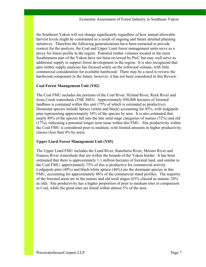the Southeast Yukon will not change significantly regardless of how annual allowable harvest levels might be constrained as a result of ongoing and future detailed planning initiatives. Therefore the following generalizations have been extracted to provide context for the analysis; the Coal and Upper Liard forest management units serve as a proxy for forest profile in the region. Potential timber volumes located in the most Southeastern part of the Yukon have not been reviewed by PwC but may well serve as additional supply to support forest development in the region. It is also recognized that past timber supply analyses has focused solely on the softwood volume, with little commercial consideration for available hardwood. There may be a need to review the hardwood component in the future, however, it has not been considered in this Review.

#### **Coal Forest Management Unit (Y02)**

The Coal FMU includes the portions of the Coal River, Hyland River, Rock River and Irons Creek watersheds (TSR 2003). Approximately 950,000 hectares of forested landbase is contained within this unit (75% of which is estimated as productive). Dominant species include Spruce (white and black) accounting for 45%, with lodgepole pine representing approximately 34% of the species by area. It is also estimated that nearly 89% of the species fall into the late seral stage categories of mature (72%) and old (17%), indicating a potential longer term issue within this FMU. Site productivity within the Coal FMU is considered poor to medium, with limited amounts in higher productivity classes (less than 4% by area).

#### **Upper Liard Forest Management Unit (Y03)**

The Upper Liard FMU includes the Liard River, Rancheria River, Meister River and Frances River watersheds that are within the bounds of the Yukon border. It has been estimated that there is approximately 1.1 million hectares of forested land, and similar to the Coal FMU, approximately 75% of this is productive for commercial activity. Lodgepole pine (40%) and black/white spruce (46%) are the dominant species in this FMU, accounting for approximately 86% of the commercial stand profiles. The majority of the forested areas are in the mature and old seral stages (63% classed as mature; 28% as old). Site productivity has a higher proportion of poor to medium sites in comparison to Coal, while the good sites are found within almost 5% of the area.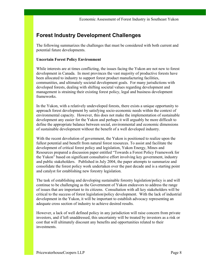## **Forest Industry Development Challenges**

The following summarizes the challenges that must be considered with both current and potential future developments.

#### **Uncertain Forest Policy Environment**

While interests are at times conflicting, the issues facing the Yukon are not new to forest development in Canada. In most provinces the vast majority of productive forests have been allocated to industry to support forest product manufacturing facilities, communities, and ultimately societal development goals. For many jurisdictions with developed forests, dealing with shifting societal values regarding development and management is straining their existing forest policy, legal and business development frameworks.

In the Yukon, with a relatively undeveloped forests, there exists a unique opportunity to approach forest development by satisfying socio-economic needs within the context of environmental capacity. However, this does not make the implementation of sustainable development any easier for the Yukon and perhaps it will arguably be more difficult to define the appropriate balance between social, environmental and economic dimensions of sustainable development without the benefit of a well developed industry.

With the recent devolution of government, the Yukon is positioned to realize upon the fullest potential and benefit from natural forest resources. To assist and facilitate the development of critical forest policy and legislation, Yukon Energy, Mines and Resources prepared a discussion paper entitled "Towards a Forest Policy Framework for the Yukon" based on significant consultative effort involving key government, industry and public stakeholders. Published in July 2004, the paper attempts to summarize and consolidate the forest policy work undertaken over the past decade and is a starting point and catalyst for establishing new forestry legislation.

The task of establishing and developing sustainable forestry legislation/policy is and will continue to be challenging as the Government of Yukon endeavors to address the range of issues that are important to its citizens. Consultation with all key stakeholders will be critical to the success of forest legislation/policy development. With the lack of industrial development in the Yukon, it will be important to establish advocacy representing an adequate cross section of industry to achieve desired results.

However, a lack of well defined policy in any jurisdiction will raise concern from private investors, and if left unaddressed, this uncertainty will be treated by investors as a risk or cost that will ultimately discount any benefits and opportunities related to their investments.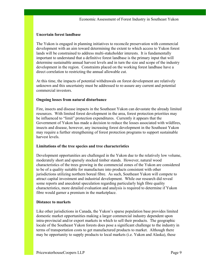#### **Uncertain forest landbase**

The Yukon is engaged in planning initiatives to reconcile preservation with commercial development with an aim toward determining the extent to which access to Yukon forest lands will be constrained to address multi-stakeholder interests. It is fundamentally important to understand that a definitive forest landbase is the primary input that will determine sustainable annual harvest levels and in turn the size and scope of the industry development in the region. Constraints placed on the working forest landbase have a direct correlation to restricting the annual allowable cut.

At this time, the impacts of potential withdrawals on forest development are relatively unknown and this uncertainty must be addressed to re-assure any current and potential commercial investors.

#### **Ongoing losses from natural disturbance**

Fire, insects and disease impacts in the Southeast Yukon can devastate the already limited resources. With limited forest development in the area, forest protection priorities may be influenced to "limit" protection expenditures. Currently it appears that the Government of Yukon has made a decision to reduce the losses associated with wildfires, insects and disease, however, any increasing forest development in the Southeast Yukon may require a further strengthening of forest protection programs to support sustainable harvest levels.

#### **Limitations of the tree species and tree characteristics**

Development opportunities are challenged in the Yukon due to the relatively low volume, moderately short and sparsely stocked timber stands. However, natural wood characteristics of the trees growing in the commercial zones of the Yukon are considered to be of a quality suitable for manufacture into products consistent with other jurisdictions utilizing northern boreal fibre. As such, Southeast Yukon will compete to attract capital investment and industrial development. While our research did reveal some reports and anecdotal speculation regarding particularly high fibre quality characteristics, more detailed evaluation and analysis is required to determine if Yukon fibre would garner a premium in the marketplace.

#### **Distance to markets**

Like other jurisdictions in Canada, the Yukon's sparse population base provides limited domestic market opportunities making a larger commercial industry dependent upon intra-provincial and/or export markets in which to sell their products. The geographic locale of the Southeast Yukon forests does pose a significant challenge to the industry in terms of transportation costs to get manufactured products to market. Although there may be opportunity to supply products to local markets (i.e. Yukon and Alaska), these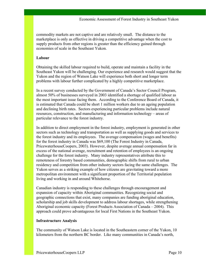commodity markets are not captive and are relatively small. The distance to the marketplace is only as effective in driving a competitive advantage when the cost to supply products from other regions is greater than the efficiency gained through economies of scale in the Southeast Yukon.

#### **Labour**

Obtaining the skilled labour required to build, operate and maintain a facility in the Southeast Yukon will be challenging. Our experience and research would suggest that the Yukon and the region of Watson Lake will experience both short and longer term problems with labour further complicated by a highly competitive marketplace.

In a recent survey conducted by the Government of Canada's Sector Council Program, almost 50% of businesses surveyed in 2003 identified a shortage of qualified labour as the most important issue facing them. According to the Conference Board of Canada, it is estimated that Canada could be short 1 million workers due to an ageing population and declining birth rates. Sectors experiencing particular problems include natural resources, construction, and manufacturing and information technology – areas of particular relevance to the forest industry.

In addition to direct employment in the forest industry, employment is generated in other sectors such as technology and transportation as well as supplying goods and services to the forest industry and its employees. The average compensation (wages and benefits) for the forest industry in Canada was \$69,100 (The Forest Industry in Canada, PricewaterhouseCoopers, 2003). However, despite average annual compensation far in excess of the national average, recruitment and retention of employees is an ongoing challenge for the forest industry. Many industry representatives attribute this to remoteness of forestry based communities, demographic shifts from rural to urban residency and competition from other industry sectors facing the same challenges. The Yukon serves as a striking example of how citizens are gravitating toward a more metropolitan environment with a significant proportion of the Territorial population living and working in and around Whitehorse.

Canadian industry is responding to these challenges through encouragement and expansion of capacity within Aboriginal communities. Recognizing social and geographic connections that exist, many companies are funding aboriginal education, scholarship and job skills development to address labour shortages, while strengthening Aboriginal economic capacity (Forest Products Association of Canada – 2004). This approach could prove advantageous for local First Nations in the Southeast Yukon.

#### **Infrastructure Analysis**

The community of Watson Lake is located in the Southeastern corner of the Yukon, 10 kilometers from the northern BC border. Like many communities in Canada's north,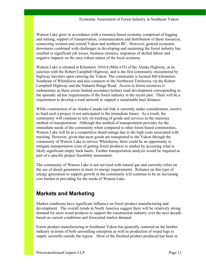Watson Lake grew in accordance with a resource based economy comprised of logging and mining, support of transportation, communication and distribution of these resources, connecting western and central Yukon and northern BC. However, general economic downturns combined with challenges in developing and sustaining the forest industry has resulted in significant job losses, business closures, migration of skilled labour and negative impacts on the once robust nature of the local economy.

Watson Lake is situated at Kilometer 1016.8 (Mile 635) of the Alaska Highway, at its junction with the Robert Campbell Highway, and is the first community encountered by highway travelers upon entering the Yukon. The community is located 460 kilometers Southeast of Whitehorse and also connects to the Northwest Territories via the Robert Campbell Highway and the Nahanni Range Road. Access to forest resources is rudimentary as there exists limited secondary/tertiary road development corresponding to the sporadic ad hoc requirements of the forest industry in the recent past. There will be a requirement to develop a road network to support a sustainable haul distance.

While construction of an Alaska-Canada rail link is currently under consideration, resolve to fund such a project is not anticipated in the immediate future. As a result, the community will continue to rely on trucking of goods and services as the mainstay method of transportation. Although this method of transportation provides for the immediate needs of the community when compared to other forest based communities, Watson Lake will be at a competitive disadvantage due to the high costs associated with trucking. However, given that most goods are transported to the Yukon through the community of Watson Lake to service Whitehorse, there could be an opportunity to mitigate transportation costs of getting forest products to market by accessing what is likely significant empty back hauls. Further transportation analysis would be required as part of a specific project feasibility assessment.

The community of Watson Lake is not serviced with natural gas and currently relies on the use of diesel generators to meet its energy requirements. Reliance on this type of energy generation to support growth in the community will continue to be an increasing cost burden in providing for the needs of Watson Lake.

## **Markets and Marketing**

Market conditions have significant influence on forest product manufacturing and development. The overall trends in North America suggest there will be relatively strong demand for most wood products to support the construction industry over the next decade based on current conditions and forecasted market demand.

Forest product manufacturing in Southeast Yukon has generally centered on the lumber industry in terms of both sawmilling enterprise as well as production of round logs to supply sawmills outside the region. Most of the finished product produced has been in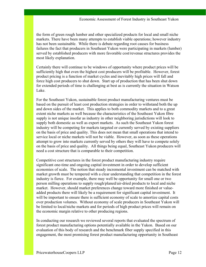the form of green rough lumber and other specialized products for local and small niche markets. There have been many attempts to establish viable operations; however industry has not been sustainable. While there is debate regarding root causes for business failures the fact that producers in Southeast Yukon were participating in markets (lumber) served by established producers with more favorable cost/revenue structures provides the most likely explanation.

Certainly there will continue to be windows of opportunity where product prices will be sufficiently high that even the highest cost producers will be profitable. However, forest product pricing is a function of market cycles and inevitably high prices will fall and force high cost producers to shut down. Start up of production that has been shut down for extended periods of time is challenging at best as is currently the situation in Watson Lake.

For the Southeast Yukon, sustainable forest product manufacturing ventures must be based on the pursuit of least cost production strategies in order to withstand both the up and down sides of the market. This applies to both commodity markets and to a great extent niche markets as well because the characteristics of the Southeast Yukon fibre supply is not unique insofar as industry in other neighboring jurisdictions will look to supply both domestic as well as export markets. As such the Southeast Yukon forest industry will be competing for markets targeted or currently served by existing suppliers on the basis of price and quality. This does not mean that small operations that intend to service local or niche markets will not be viable. However, as soon as these operations attempt to grow into markets currently served by others they will have to compete solely on the basis of price and quality. All things being equal, Southeast Yukon producers will need a cost structure that is comparable to their competition.

Competitive cost structures in the forest product manufacturing industry require significant one-time and ongoing capital investment in order to develop sufficient economies of scale. The notion that steady incremental investment can be matched with market growth must be tempered with a clear understanding that competition in the forest industry is fierce. For example, there may well be opportunity for small one or two person milling operations to supply rough/planed/air-dried products to local and niche market. However, should market preferences change toward more finished or valueadded products there will likely be a requirement for significant capital investment. It will be important to ensure there is sufficient economy of scale to amortize capital costs over production volumes. Without economy of scale producers in Southeast Yukon will be limited to local/niche markets and for periods of high product prices will remain on the economic margin relative to other producing regions.

In conducting our research we reviewed several reports that evaluated the spectrum of forest product manufacturing options potentially available in the Yukon. Based on our evaluation of this body of research and the benchmark fiber supply specified in this engagement, the most promising forest product manufacturing opportunity in Southeast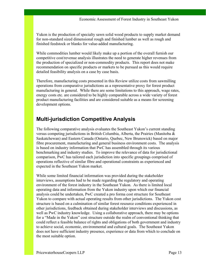Yukon is the production of specialty sawn solid wood products to supply market demand for non-standard sized dimensional rough and finished lumber as well as rough and finished feedstock or blanks for value-added manufacturing.

While commodities lumber would likely make up a portion of the overall furnish our competitive cost/revenue analysis illustrates the need to generate higher revenues from the production of specialized or non-commodity products. This report does not make recommendation on specific products or markets to be pursued as this would require detailed feasibility analysis on a case by case basis.

Therefore, manufacturing costs presented in this Review utilize costs from sawmilling operations from comparative jurisdictions as a representative proxy for forest product manufacturing in general. While there are some limitations to this approach, wage rates, energy costs etc. are considered to be highly comparable across a wide variety of forest product manufacturing facilities and are considered suitable as a means for screening development options.

## **Multi-jurisdiction Competitive Analysis**

The following comparative analysis evaluates the Southeast Yukon's current standing versus competing jurisdictions in British Columbia, Alberta, the Prairies (Manitoba & Saskatchewan) and Eastern Canada (Ontario, Quebec, New Brunswick) based on major fibre procurement, manufacturing and general business environment costs. The analysis is based on industry information that PwC has assembled through its various benchmarking and industry studies. To improve the relevance of data for jurisdictional comparison, PwC has tailored each jurisdiction into specific groupings comprised of operations reflective of similar fibre and operational constraints as experienced and expected in the Southeast Yukon market.

While some limited financial information was provided during the stakeholder interviews, assumptions had to be made regarding the regulatory and operating environment of the forest industry in the Southeast Yukon. As there is limited local operating data and information from the Yukon industry upon which our financial analysis could be undertaken, PwC created a pro forma cost structure for Southeast Yukon to compare with actual operating results from other jurisdictions. The Yukon cost structure is based on a culmination of similar forest resource conditions experienced in other jurisdictions, feedback obtained during stakeholder interviews and discussions, as well as PwC industry knowledge. Using a collaborative approach, there may be options for a "Made in the Yukon" cost structure outside the realm of conventional thinking that could reflect a feasible balance of rights and obligations of both government and industry to achieve social, economic, environmental and cultural goals. The Southeast Yukon does not have sufficient industry presence, experience or data from which to conclude on the most suitable option.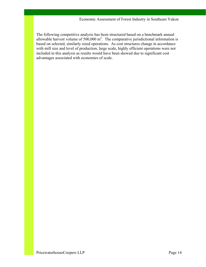The following competitive analysis has been structured based on a benchmark annual allowable harvest volume of  $500,000 \text{ m}^3$ . The comparative jurisdictional information is based on selected, similarly sized operations. As cost structures change in accordance with mill size and level of production, large scale, highly efficient operations were not included in this analysis as results would have been skewed due to significant cost advantages associated with economies of scale.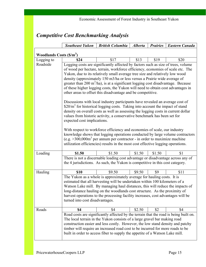|                                   | <b>Southeast Yukon</b>                                                                                                                                               | <b>British Columbia</b>                                                                           | <b>Alberta</b> | <b>Prairies</b> | <b>Eastern Canada</b> |  |  |
|-----------------------------------|----------------------------------------------------------------------------------------------------------------------------------------------------------------------|---------------------------------------------------------------------------------------------------|----------------|-----------------|-----------------------|--|--|
| Woodlands Costs $(\frac{S}{m^3})$ |                                                                                                                                                                      |                                                                                                   |                |                 |                       |  |  |
| Logging to                        | \$24                                                                                                                                                                 | \$17                                                                                              | \$13           | \$19            | \$20                  |  |  |
| Roadside                          |                                                                                                                                                                      |                                                                                                   |                |                 |                       |  |  |
|                                   | Logging costs are significantly affected by factors such as size of trees, volume<br>of wood per hectare, terrain, workforce efficiency, economies of scale etc. The |                                                                                                   |                |                 |                       |  |  |
|                                   |                                                                                                                                                                      | Yukon, due to its relatively small average tree size and relatively low wood                      |                |                 |                       |  |  |
|                                   |                                                                                                                                                                      | density (approximately 150 m3/ha or less versus a Prairie wide average of                         |                |                 |                       |  |  |
|                                   |                                                                                                                                                                      | greater than $200 \text{ m}^3/\text{ha}$ , is at a significant logging cost disadvantage. Because |                |                 |                       |  |  |
|                                   |                                                                                                                                                                      | of these higher logging costs, the Yukon will need to obtain cost advantages in                   |                |                 |                       |  |  |
|                                   |                                                                                                                                                                      | other areas to offset this disadvantage and be competitive.                                       |                |                 |                       |  |  |
|                                   |                                                                                                                                                                      | Discussions with local industry participants have revealed an average cost of                     |                |                 |                       |  |  |
|                                   |                                                                                                                                                                      | $$20/m3$ for historical logging costs. Taking into account the impact of stand                    |                |                 |                       |  |  |
|                                   |                                                                                                                                                                      | density on overall costs as well as assessing the logging costs in current dollar                 |                |                 |                       |  |  |
|                                   |                                                                                                                                                                      | values from historic activity, a conservative benchmark has been set for                          |                |                 |                       |  |  |
|                                   | expected cost implications.                                                                                                                                          |                                                                                                   |                |                 |                       |  |  |
|                                   |                                                                                                                                                                      |                                                                                                   |                |                 |                       |  |  |
|                                   | With respect to workforce efficiency and economies of scale, our industry<br>knowledge shows that logging operations conducted by large volume contractors           |                                                                                                   |                |                 |                       |  |  |
|                                   |                                                                                                                                                                      | (e.g. $>300,000$ m <sup>3</sup> per annum per contractor - in order to maximize machine           |                |                 |                       |  |  |
|                                   |                                                                                                                                                                      | utilization efficiencies) results in the most cost effective logging operations.                  |                |                 |                       |  |  |
| Loading                           | \$1.50                                                                                                                                                               | \$1.50                                                                                            | \$1.50         | \$1.50          | \$1                   |  |  |
|                                   |                                                                                                                                                                      | There is not a discernable loading cost advantage or disadvantage across any of                   |                |                 |                       |  |  |
|                                   |                                                                                                                                                                      | the 4 jurisdictions. As such, the Yukon is competitive in this cost category.                     |                |                 |                       |  |  |
| Hauling                           | \$10                                                                                                                                                                 | \$9.50                                                                                            | \$9.50         | \$9             | \$11                  |  |  |
|                                   |                                                                                                                                                                      | The Yukon as a whole is approximately average for hauling costs. It is                            |                |                 |                       |  |  |
|                                   |                                                                                                                                                                      | estimated that all harvesting will be undertaken within 100 kilometers of a                       |                |                 |                       |  |  |
|                                   | Watson Lake mill. By managing haul distances, this will reduce the impacts of<br>long-distance hauling on the woodlands cost structure. As the proximity of          |                                                                                                   |                |                 |                       |  |  |
|                                   |                                                                                                                                                                      |                                                                                                   |                |                 |                       |  |  |
|                                   | harvest operations to the processing facility increases, cost advantages will be<br>turned into cost disadvantages.                                                  |                                                                                                   |                |                 |                       |  |  |
|                                   |                                                                                                                                                                      |                                                                                                   |                |                 |                       |  |  |
| Roads                             | \$4<br>\$2.50<br>\$2<br>\$4<br>\$4                                                                                                                                   |                                                                                                   |                |                 |                       |  |  |
|                                   |                                                                                                                                                                      | Road costs are significantly affected by the terrain that the road is being built on.             |                |                 |                       |  |  |
|                                   | The local terrain in the Yukon consists of a large gravel bar making road<br>construction easier and less costly. However, the low stand density and patchy          |                                                                                                   |                |                 |                       |  |  |
|                                   | timber will require an increased road cost to be incurred for more roads to be                                                                                       |                                                                                                   |                |                 |                       |  |  |
|                                   | built in order to access fiber to supply the appetite of a Watson Lake mill.                                                                                         |                                                                                                   |                |                 |                       |  |  |
|                                   |                                                                                                                                                                      |                                                                                                   |                |                 |                       |  |  |

## *Competitive Cost Benchmarking Analysis*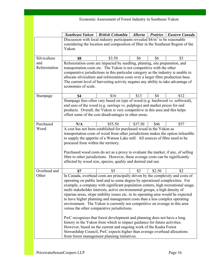| Economic Assessment of Forest Industry in Southeast Yukon |                                                                                                                                                                                                                                                                                                                                                                                                                                                                                                                                                                                                                                                                                                                                                                                                                                                                                                                      |                                                                           |                |                 |                       |
|-----------------------------------------------------------|----------------------------------------------------------------------------------------------------------------------------------------------------------------------------------------------------------------------------------------------------------------------------------------------------------------------------------------------------------------------------------------------------------------------------------------------------------------------------------------------------------------------------------------------------------------------------------------------------------------------------------------------------------------------------------------------------------------------------------------------------------------------------------------------------------------------------------------------------------------------------------------------------------------------|---------------------------------------------------------------------------|----------------|-----------------|-----------------------|
|                                                           | <b>Southeast Yukon</b>                                                                                                                                                                                                                                                                                                                                                                                                                                                                                                                                                                                                                                                                                                                                                                                                                                                                                               | <b>British Columbia</b>                                                   | <b>Alberta</b> | <b>Prairies</b> | <b>Eastern Canada</b> |
|                                                           | Discussion with local industry participants revealed $$4/m3$ to be reasonable                                                                                                                                                                                                                                                                                                                                                                                                                                                                                                                                                                                                                                                                                                                                                                                                                                        |                                                                           |                |                 |                       |
|                                                           | considering the location and composition of fiber in the Southeast Region of the<br>Yukon.                                                                                                                                                                                                                                                                                                                                                                                                                                                                                                                                                                                                                                                                                                                                                                                                                           |                                                                           |                |                 |                       |
| Silviculture                                              | \$8                                                                                                                                                                                                                                                                                                                                                                                                                                                                                                                                                                                                                                                                                                                                                                                                                                                                                                                  | \$3.50                                                                    | \$6            | \$6             | \$3                   |
| and<br>Reforestation                                      | Reforestation costs are impacted by seedling, planting, site preparation, and<br>transportation costs etc. The Yukon is not competitive with the other<br>comparative jurisdictions in this particular category as the industry is unable to<br>allocate silviculture and reforestation costs over a larger fibre production base.<br>The current level of harvesting activity negates any ability to take advantage of<br>economies of scale.                                                                                                                                                                                                                                                                                                                                                                                                                                                                       |                                                                           |                |                 |                       |
| Stumpage                                                  | \$4                                                                                                                                                                                                                                                                                                                                                                                                                                                                                                                                                                                                                                                                                                                                                                                                                                                                                                                  | \$16                                                                      | \$13           | \$4             | \$12                  |
|                                                           | Stumpage fees often vary based on type of wood (e.g. hardwood vs. softwood),<br>end uses of the wood (e.g. sawlogs vs. pulplogs) and market prices for end<br>products. Overall, the Yukon is very competitive in this area and this helps<br>offset some of the cost disadvantages in other areas.                                                                                                                                                                                                                                                                                                                                                                                                                                                                                                                                                                                                                  |                                                                           |                |                 |                       |
| Purchased                                                 | N/A                                                                                                                                                                                                                                                                                                                                                                                                                                                                                                                                                                                                                                                                                                                                                                                                                                                                                                                  | \$55.50                                                                   | \$37.50        | \$46            | \$57                  |
| Wood                                                      | A cost has not been established for purchased wood in the Yukon as<br>transportation costs of wood from other jurisdictions makes the option infeasible<br>to supply the appetite of a Watson Lake mill. All sources of fibre need to be<br>procured from within the territory.<br>Purchased wood costs do act as a proxy to evaluate the market, if any, of selling<br>fibre to other jurisdictions. However, these average costs can be significantly<br>affected by wood size, species, quality and desired end use.                                                                                                                                                                                                                                                                                                                                                                                              |                                                                           |                |                 |                       |
| Overhead and                                              | \$7                                                                                                                                                                                                                                                                                                                                                                                                                                                                                                                                                                                                                                                                                                                                                                                                                                                                                                                  | \$5                                                                       | \$3            | \$2.50          | \$2                   |
| Other                                                     | In Canada, overhead costs are principally driven by the complexity and costs of<br>operating on public land and to some degree by operational complexities. For<br>example, a company with significant population centers, high recreational usage,<br>multi stakeholder interests, active environmental groups, a high density of<br>riparian areas, slope stability issues etc. in its operating area would be expected<br>to have higher planning and management costs than a less complex operating<br>environment. The Yukon is currently not competitive on average in this area<br>versus the other comparative jurisdictions.<br>PwC recognizes that forest development and planning does not have a long<br>history in the Yukon from which to impact guidance for future activities.<br>However, based on the current and ongoing work of the Kaska Forest<br>from forest management planning initiatives. | Stewardship Council, PwC expects higher than average overhead allocations |                |                 |                       |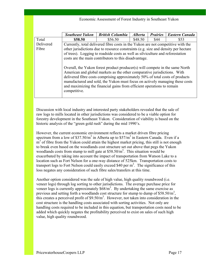Discussion with local industry and interested party stakeholders revealed that the sale of raw logs to mills located in other jurisdictions was considered to be a viable option for forestry development in the Southeast Yukon. Consideration of viability is based on the historic analysis of the "green gold rush" during the mid 1990's.

However, the current economic environment reflects a market driven fibre pricing spectrum from a low of \$37.50/ $m^3$  in Alberta up to \$57/ $m^3$  in Eastern Canada. Even if a  $m<sup>3</sup>$  of fibre from the Yukon could attain the highest market pricing, this still is not enough to break even based on the woodlands cost structure set out above that pegs the Yukon woodlands costs from stump to mill gate at  $$58.50/m<sup>3</sup>$ . This situation would be exacerbated by taking into account the impact of transportation from Watson Lake to a location such as Fort Nelson for a one-way distance of 525km. Transportation costs to transport logs to Fort Nelson could easily exceed \$40 per  $m<sup>3</sup>$ . The significance of this loss negates any consideration of such fibre sales/transfers at this time.

Another option considered was the sale of high value, high quality roundwood (i.e. veneer logs) through log sorting to other jurisdictions. The average purchase price for veneer logs is currently approximately  $$68/m<sup>3</sup>$ . By undertaking the same exercise as previous and setting forth a woodlands cost structure for stump to dump of \$58.50/m<sup>3</sup>, this creates a perceived profit of  $$9.50/m<sup>3</sup>$ . However, not taken into consideration in the cost structure is the handling costs associated with sorting activities. Not only are handling costs required to be included in this equation, but transportation costs need to be added which quickly negates the profitability perceived to exist on sales of such high value, high quality roundwood.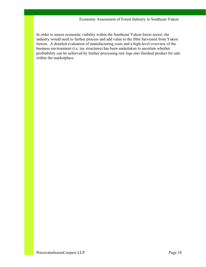In order to assess economic viability within the Southeast Yukon forest sector, the industry would need to further process and add value to the fibre harvested from Yukon forests. A detailed evaluation of manufacturing costs and a high-level overview of the business environment (i.e. tax structures) has been undertaken to ascertain whether profitability can be achieved by further processing raw logs into finished product for sale within the marketplace.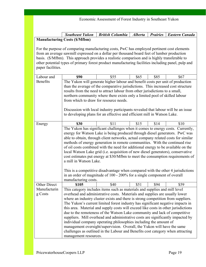| Southeast Yukon   British Columbia   Alberta   Prairies   Eastern Canada |  |  |
|--------------------------------------------------------------------------|--|--|
| <b>Manufacturing Costs (\$/Mfbm)</b>                                     |  |  |

For the purpose of comparing manufacturing costs, PwC has employed pertinent cost elements from an average sawmill expressed on a dollar per thousand board feet of lumber production basis. (\$/Mfbm). This approach provides a realistic comparison and is highly transferable to other potential types of primary forest product manufacturing facilities including panel, pulp and paper facilities.

| Labour and          | <b>\$90</b>                                                                                                                                                                                                                     | \$55                                                                               | \$65 | \$85 | \$67 |  |  |
|---------------------|---------------------------------------------------------------------------------------------------------------------------------------------------------------------------------------------------------------------------------|------------------------------------------------------------------------------------|------|------|------|--|--|
| <b>Benefits</b>     | The Yukon will generate higher labour and benefit costs per unit of production                                                                                                                                                  |                                                                                    |      |      |      |  |  |
|                     |                                                                                                                                                                                                                                 | than the average of the comparative jurisdictions. This increased cost structure   |      |      |      |  |  |
|                     | results from the need to attract labour from other jurisdictions to a small,                                                                                                                                                    |                                                                                    |      |      |      |  |  |
|                     | northern community where there exists only a limited pool of skilled labour                                                                                                                                                     |                                                                                    |      |      |      |  |  |
|                     | from which to draw for resource needs.                                                                                                                                                                                          |                                                                                    |      |      |      |  |  |
|                     |                                                                                                                                                                                                                                 |                                                                                    |      |      |      |  |  |
|                     | Discussion with local industry participants revealed that labour will be an issue                                                                                                                                               |                                                                                    |      |      |      |  |  |
|                     |                                                                                                                                                                                                                                 | to developing plans for an effective and efficient mill in Watson Lake.            |      |      |      |  |  |
| Energy              | <b>\$30</b>                                                                                                                                                                                                                     | \$11                                                                               | \$15 | \$14 | \$10 |  |  |
|                     |                                                                                                                                                                                                                                 | The Yukon has significant challenges when it comes to energy costs. Currently,     |      |      |      |  |  |
|                     |                                                                                                                                                                                                                                 | energy for Watson Lake is being produced through diesel generators. PwC was        |      |      |      |  |  |
|                     |                                                                                                                                                                                                                                 | able to obtain, through client networks, actual company related costs for similar  |      |      |      |  |  |
|                     |                                                                                                                                                                                                                                 | methods of energy generation in remote communities. With the continued rise        |      |      |      |  |  |
|                     |                                                                                                                                                                                                                                 |                                                                                    |      |      |      |  |  |
|                     | of oil costs combined with the need for additional energy to be available on the<br>local Watson Lake grid (i.e. acquisition of new diesel generators), conservative                                                            |                                                                                    |      |      |      |  |  |
|                     | cost estimates put energy at \$30/Mfbm to meet the consumption requirements of                                                                                                                                                  |                                                                                    |      |      |      |  |  |
|                     | a mill in Watson Lake.                                                                                                                                                                                                          |                                                                                    |      |      |      |  |  |
|                     |                                                                                                                                                                                                                                 |                                                                                    |      |      |      |  |  |
|                     | This is a competitive disadvantage when compared with the other 4 jurisdictions                                                                                                                                                 |                                                                                    |      |      |      |  |  |
|                     |                                                                                                                                                                                                                                 | in an order of magnitude of 100 - 200% for a single component of overall           |      |      |      |  |  |
|                     | manufacturing costs.                                                                                                                                                                                                            |                                                                                    |      |      |      |  |  |
| <b>Other Direct</b> | \$105                                                                                                                                                                                                                           | \$40                                                                               | \$51 | \$94 | \$59 |  |  |
| Manufacturin        | This category includes items such as materials and supplies and mill level                                                                                                                                                      |                                                                                    |      |      |      |  |  |
| g Costs             | overhead and administrative costs. Materials and supplies are usually lower                                                                                                                                                     |                                                                                    |      |      |      |  |  |
|                     |                                                                                                                                                                                                                                 | where an industry cluster exists and there is strong competition from suppliers.   |      |      |      |  |  |
|                     |                                                                                                                                                                                                                                 | The Yukon's current limited forest industry has significant negative impacts in    |      |      |      |  |  |
|                     |                                                                                                                                                                                                                                 | this area. Material and supply costs will exceed like costs in other jurisdictions |      |      |      |  |  |
|                     |                                                                                                                                                                                                                                 | due to the remoteness of the Watson Lake community and lack of competitive         |      |      |      |  |  |
|                     | suppliers. Mill overhead and administrative costs are significantly impacted by<br>individual company operating philosophies including the amount of<br>management oversight/supervision. Overall, the Yukon will have the same |                                                                                    |      |      |      |  |  |
|                     |                                                                                                                                                                                                                                 |                                                                                    |      |      |      |  |  |
|                     |                                                                                                                                                                                                                                 |                                                                                    |      |      |      |  |  |
|                     | challenges as outlined in the Labour and Benefits cost category when attracting                                                                                                                                                 |                                                                                    |      |      |      |  |  |
|                     | management resources.                                                                                                                                                                                                           |                                                                                    |      |      |      |  |  |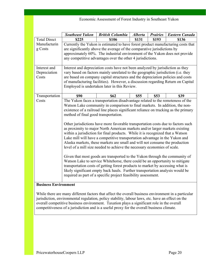|                     | <b>Southeast Yukon</b><br><b>British Columbia</b><br><b>Alberta</b><br><b>Prairies</b><br><b>Eastern Canada</b> |                                                                                     |       |       |       |  |  |  |
|---------------------|-----------------------------------------------------------------------------------------------------------------|-------------------------------------------------------------------------------------|-------|-------|-------|--|--|--|
| <b>Total Direct</b> | \$225                                                                                                           | \$106                                                                               | \$131 | \$193 | \$136 |  |  |  |
| Manufacturin        |                                                                                                                 | Currently the Yukon is estimated to have forest product manufacturing costs that    |       |       |       |  |  |  |
| g Costs             |                                                                                                                 | are significantly above the average of the comparative jurisdictions by             |       |       |       |  |  |  |
|                     |                                                                                                                 | approximately 60%. The industrial environment of the Yukon does not provide         |       |       |       |  |  |  |
|                     |                                                                                                                 | any competitive advantages over the other 4 jurisdictions.                          |       |       |       |  |  |  |
| Interest and        |                                                                                                                 | Interest and depreciation costs have not been analyzed by jurisdiction as they      |       |       |       |  |  |  |
| Depreciation        |                                                                                                                 | vary based on factors mainly unrelated to the geographic jurisdiction (i.e. they    |       |       |       |  |  |  |
| Costs               |                                                                                                                 | are based on company capital structures and the depreciation policies and costs     |       |       |       |  |  |  |
|                     |                                                                                                                 | of manufacturing facilities). However, a discussion regarding Return on Capital     |       |       |       |  |  |  |
|                     |                                                                                                                 | Employed is undertaken later in this Review.                                        |       |       |       |  |  |  |
| Transportation      | \$55<br><b>\$90</b><br><b>\$62</b><br>\$53<br>\$39                                                              |                                                                                     |       |       |       |  |  |  |
| Costs               |                                                                                                                 | The Yukon faces a transportation disadvantage related to the remoteness of the      |       |       |       |  |  |  |
|                     |                                                                                                                 | Watson Lake community in comparison to final markets. In addition, the non-         |       |       |       |  |  |  |
|                     |                                                                                                                 | existence of a railroad line places significant reliance on trucking as the primary |       |       |       |  |  |  |
|                     | method of final good transportation.                                                                            |                                                                                     |       |       |       |  |  |  |
|                     |                                                                                                                 | Other jurisdictions have more favorable transportation costs due to factors such    |       |       |       |  |  |  |
|                     |                                                                                                                 | as proximity to major North American markets and/or larger markets existing         |       |       |       |  |  |  |
|                     |                                                                                                                 | within a jurisdiction for final products. While it is recognized that a Watson      |       |       |       |  |  |  |
|                     | Lake mill will have a competitive transportation advantage in the Yukon and                                     |                                                                                     |       |       |       |  |  |  |
|                     |                                                                                                                 | Alaska markets, these markets are small and will not consume the production         |       |       |       |  |  |  |
|                     |                                                                                                                 | level of a mill size needed to achieve the necessary economies of scale.            |       |       |       |  |  |  |
|                     | Given that most goods are transported to the Yukon through the community of                                     |                                                                                     |       |       |       |  |  |  |
|                     | Watson Lake to service Whitehorse, there could be an opportunity to mitigate                                    |                                                                                     |       |       |       |  |  |  |
|                     |                                                                                                                 | transportation costs of getting forest products to market by accessing what is      |       |       |       |  |  |  |
|                     | likely significant empty back hauls. Further transportation analysis would be                                   |                                                                                     |       |       |       |  |  |  |
|                     |                                                                                                                 | required as part of a specific project feasibility assessment.                      |       |       |       |  |  |  |
|                     |                                                                                                                 |                                                                                     |       |       |       |  |  |  |

#### **Business Environment**

While there are many different factors that affect the overall business environment in a particular jurisdiction, environmental regulation, policy stability, labour laws, etc. have an effect on the overall competitive business environment. Taxation plays a significant role in the overall competitiveness of a jurisdiction and is a useful proxy for the overall business climate.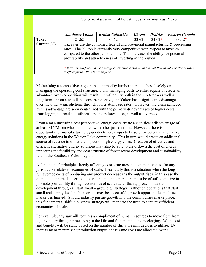|                 | <b>Southeast Yukon</b>                                                                                                                                                                                                                                                                                     | <b>British Columbia</b> | <b>Alberta</b> | <b>Prairies</b> | <b>Eastern Canada</b> |  |
|-----------------|------------------------------------------------------------------------------------------------------------------------------------------------------------------------------------------------------------------------------------------------------------------------------------------------------------|-------------------------|----------------|-----------------|-----------------------|--|
| $Taxes -$       | 24.62                                                                                                                                                                                                                                                                                                      | 35.62                   | 33.62          | $34.62*$        | $33.42*$              |  |
| Current $(\% )$ | Tax rates are the combined federal and provincial manufacturing $\&$ processing<br>rates. The Yukon is currently very competitive with respect to taxes as<br>compared to the other jurisdictions. This increases the ability for potential<br>profitability and attractiveness of investing in the Yukon. |                         |                |                 |                       |  |
|                 | * Rate derived from simple average calculation based on individual Provincial/Territorial rates<br>in effect for the 2005 taxation year.                                                                                                                                                                   |                         |                |                 |                       |  |

Maintaining a competitive edge in the commodity lumber market is based solely on managing the operating cost structure. Fully managing costs to either equate or create an advantage over competition will result in profitability both in the short-term as well as long-term. From a woodlands cost perspective, the Yukon has a significant advantage over the other 4 jurisdictions through lower stumpage rates. However, the gains achieved by this advantage are soon neutralized with the primary disadvantages of higher costs from logging to roadside, silviculture and reforestation, as well as overhead.

From a manufacturing cost perspective, energy costs create a significant disadvantage of at least \$15/Mfbm when compared with other jurisdictions. However, there is an opportunity for manufacturing by-products (i.e. chips) to be sold for potential alternative energy solutions in the Watson Lake community. This in turn would create an additional source of revenue to offset the impact of high energy costs. Creation of effective and efficient alternative energy solutions may also be able to drive down the cost of energy impacting the feasibility and cost structure of forest sector development and sustainability within the Southeast Yukon region.

A fundamental principle directly affecting cost structures and competitiveness for any jurisdiction relates to economies of scale. Essentially this is a situation when the longrun average costs of producing any product decreases as the output rises (in this case the output is lumber). It is critical to understand that operations must be of sufficient size to promote profitability through economies of scale rather than approach industry development through a "start small – grow big" strategy. Although operations that start small and supply local niche markets may be successful, growth opportunities in these markets is limited. Should industry pursue growth into the commodities marketplace, this fundamental shift in business strategy will mandate the need to capture sufficient economies of scale.

For example, any sawmill requires a compliment of human resources to move fibre from log inventory through processing to the kiln and final planing and packaging. Wage costs and benefits will be static based on the number of shifts the mill decides to utilize. By increasing or maximizing production output, these same costs are allocated over a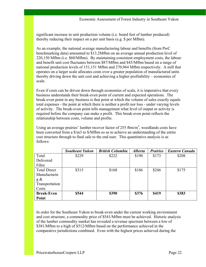significant increase in unit production volume (i.e. board feet of lumber produced) thereby reducing their impact on a per unit basis (e.g. \$ per Mfbm).

As an example, the national average manufacturing labour and benefits (from PwC benchmarking data) amounted to \$13.2Mfbm on an average annual production level of 220,150 Mfbm (i.e. \$60/Mfbm). By maintaining consistent employment costs, the labour and benefit unit cost fluctuates between \$87/Mfbm and \$45/Mfbm based on a range of national production levels of 151,151 Mfbm and 270,964 Mfbm respectively. A mill that operates on a larger scale allocates costs over a greater population of manufactured units thereby driving down the unit cost and achieving a higher profitability – economies of scale.

Even if costs can be driven down through economies of scale, it is imperative that every business understands their break-even point of current and expected operations. The break-even point in any business is that point at which the volume of sales exactly equals total expenses - the point at which there is neither a profit nor loss - under varying levels of activity. The break-even point tells management what level of output or activity is required before the company can make a profit. This break-even point reflects the relationship between costs, volume and profits.

Using an average prairies' lumber recover factor of 255 fbm/ $m<sup>3</sup>$ , woodlands costs have been converted from a \$/m3 to \$/Mfbm so as to achieve an understanding of the entire cost structure through to final sale to the end user. This quantitative analysis is as follows:

|                     | <b>Southeast Yukon</b> | <b>British Columbia</b> | <b>Alberta</b> | <b>Prairies</b> | <b>Eastern Canada</b> |
|---------------------|------------------------|-------------------------|----------------|-----------------|-----------------------|
| Total               | \$229                  | \$222                   | \$190          | \$173           | \$208                 |
| Delivered           |                        |                         |                |                 |                       |
| Fibre               |                        |                         |                |                 |                       |
| <b>Total Direct</b> | \$315                  | \$168                   | \$186          | \$246           | \$175                 |
| Manufacturin        |                        |                         |                |                 |                       |
| $g \&$              |                        |                         |                |                 |                       |
| Transportation      |                        |                         |                |                 |                       |
| Costs               |                        |                         |                |                 |                       |
| <b>Break-Even</b>   | \$544                  | \$390                   | \$376          | <b>\$419</b>    | \$383                 |
| Point               |                        |                         |                |                 |                       |

In order for the Southeast Yukon to break-even under the current working environment and cost structure, a commodity price of \$541/Mfbm must be achieved. Historic analysis of the lumber commodity market has revealed a revenue spectrum between a low of \$381/Mfbm to a high of \$512/Mfbm based on the performance achieved in the comparative jurisdictions combined. Even with the highest prices achieved during the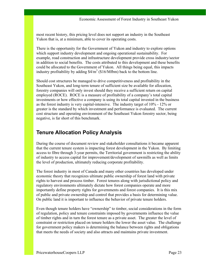most recent history, this pricing level does not support an industry in the Southeast Yukon that is, at a minimum, able to cover its operating costs.

There is the opportunity for the Government of Yukon and industry to explore options which support industry development and ongoing operational sustainability. For example, road construction and infrastructure development provide cross industry/sector in addition to social benefits. The costs attributed to this development and these benefits could be allocated to the Government of Yukon. All things being equal, this impacts industry profitability by adding  $$4/m<sup>3</sup>$  (\$16/Mfbm) back to the bottom line.

Should cost structures be managed to drive competitiveness and profitability in the Southeast Yukon, and long-term tenure of sufficient size be available for allocation, forestry companies will only invest should they receive a sufficient return on capital employed (ROCE). ROCE is a measure of profitability of a company's total capital investments or how effective a company is using its total capital invested in the business as the forest industry is very capital-intensive. The industry target of 10% - 12% or greater is the standard by which investment and performance is evaluated. The current cost structure and operating environment of the Southeast Yukon forestry sector, being negative, is far short of this benchmark.

## **Tenure Allocation Policy Analysis**

During the course of document review and stakeholder consultations it became apparent that the current tenure system is impacting forest development in the Yukon. By limiting access to fibre through 3-year permits, the Territorial government is restricting the ability of industry to access capital for improvement/development of sawmills as well as limits the level of production, ultimately reducing corporate profitability.

The forest industry in most of Canada and many other countries has developed under economic theory that recognizes ultimate public ownership of forest land with private rights to harvest and process timber. Forest tenures along with jurisdictional policy and regulatory environments ultimately dictate how forest companies operate and more importantly define property rights for governments and forest companies. It is this mix of public and private ownership and control that provides a basis for determining value. On public land it is important to influence the behavior of private tenure holders.

Even though tenure holders have "ownership" to timber, social considerations in the form of regulation, policy and tenure constraints imposed by governments influence the value of timber rights and in turn the forest tenure as a private asset. The greater the level of constraint or restriction placed on tenure holders the lower the asset value. The challenge for government policy makers is determining the balance between rights and obligations that meets the needs of society and also attracts and maintains private investment.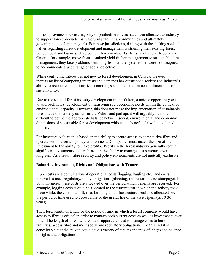In most provinces the vast majority of productive forests have been allocated to industry to support forest products manufacturing facilities, communities and ultimately government development goals. For these jurisdictions, dealing with the shifting societal values regarding forest development and management is straining their existing forest policy, legal and business development frameworks. As British Columbia, Alberta and Ontario, for example, move from sustained yield timber management to sustainable forest management, they face problems stemming from tenure systems that were not designed to accommodate a wide range of social objectives.

While conflicting interests is not new to forest development in Canada, the ever increasing list of competing interests and demands has outstripped society and industry's ability to reconcile and rationalize economic, social and environmental dimensions of sustainability.

Due to the state of forest industry development in the Yukon, a unique opportunity exists to approach forest development by satisfying socioeconomic needs within the context of environmental capacity. However, this does not make the implementation of sustainable forest development any easier for the Yukon and perhaps it will arguably be more difficult to define the appropriate balance between social, environmental and economic dimensions of sustainable forest development without the benefit of a well developed industry.

For investors, valuation is based on the ability to secure access to competitive fibre and operate within a certain policy environment. Companies must match the size of their investment to the ability to make profits. Profits in the forest industry generally require significant investments and are based on the ability to manage cost structure over the long-run. As a result, fibre security and policy environments are not mutually exclusive.

#### **Balancing Investment, Rights and Obligations with Tenure**

Fibre costs are a combination of operational costs (logging, hauling etc.) and costs incurred to meet regulatory/policy obligations (planning, reforestation, and stumpage). In both instances, these costs are allocated over the period which benefits are received. For example, logging costs would be allocated to the current year in which the activity took place while, the cost of a mill, road building and infrastructure would be allocated over the period of time used to access fibre or the useful life of the assets (perhaps 10-30 years).

Therefore, length of tenure or the period of time in which a forest company would have access to fibre is critical in order to manage both current costs as well as investments over time. The length of forest tenure must support the need to manage costs to build facilities, access fibre and meet social and regulatory obligations. To this end it is conceivable that the Yukon could have a variety of tenures in terms of length and balance of rights and obligations.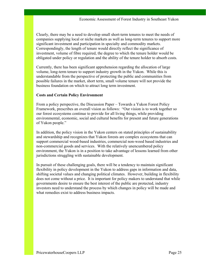Clearly, there may be a need to develop small short-term tenures to meet the needs of companies supplying local or niche markets as well as long-term tenures to support more significant investment and participation in specialty and commodity markets. Correspondingly, the length of tenure would directly reflect the significance of investment, volume of fibre required, the degree to which the tenure holder would be obligated under policy or regulation and the ability of the tenure holder to absorb costs.

Currently, there has been significant apprehension regarding the allocation of large volume, long-term tenure to support industry growth in the Yukon. While this is understandable from the perspective of protecting the public and communities from possible failures in the market, short term, small volume tenure will not provide the business foundation on which to attract long term investment.

#### **Costs and Certain Policy Environment**

From a policy perspective, the Discussion Paper – Towards a Yukon Forest Policy Framework, prescribes an overall vision as follows: "Our vision is to work together so our forest ecosystems continue to provide for all living things, while providing environmental, economic, social and cultural benefits for present and future generations of Yukon people."

In addition, the policy vision in the Yukon centers on stated principles of sustainability and stewardship and recognizes that Yukon forests are complex ecosystems that can support commercial wood-based industries, commercial non-wood based industries and non-commercial goods and services. With the relatively unencumbered policy environment, the Yukon is in a position to take advantage of lessons learned from other jurisdictions struggling with sustainable development.

In pursuit of these challenging goals, there will be a tendency to maintain significant flexibility in policy development in the Yukon to address gaps in information and data, shifting societal values and changing political climates. However, building in flexibility does not come without a price. It is important for policy makers to understand that while governments desire to ensure the best interest of the public are protected, industry investors need to understand the process by which changes in policy will be made and what remedies exist to address business impacts.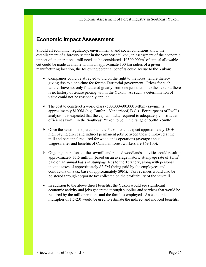## **Economic Impact Assessment**

Should all economic, regulatory, environmental and social conditions allow the establishment of a forestry sector in the Southeast Yukon, an assessment of the economic impact of an operational mill needs to be considered. If  $500,000\,\text{m}^3$  of annual allowable cut could be made available within an approximate 100 km radius of a given manufacturing location, the following potential benefits could accrue to the Yukon:

- $\triangleright$  Companies could be attracted to bid on the right to the forest tenure thereby giving rise to a one-time fee for the Territorial government. Prices for such tenures have not only fluctuated greatly from one jurisdiction to the next but there is no history of tenure pricing within the Yukon. As such, a determination of value could not be reasonably applied.
- $\triangleright$  The cost to construct a world class (500,000-600,000 Mfbm) sawmill is approximately \$100M (e.g. Canfor – Vanderhoof, B.C.). For purposes of PwC's analysis, it is expected that the capital outlay required to adequately construct an efficient sawmill in the Southeast Yukon to be in the range of \$30M - \$40M.
- $\triangleright$  Once the sawmill is operational, the Yukon could expect approximately 130+ high paying direct and indirect permanent jobs between those employed at the mill and personnel required for woodlands operations (average annual wage/salaries and benefits of Canadian forest workers are \$69,100).
- $\triangleright$  Ongoing operations of the sawmill and related woodlands activities could result in approximately \$1.5 million (based on an average historic stumpage rate of  $$3/m^3$ ) paid on an annual basis in stumpage fees to the Territory, along with personal income taxes of approximately \$2.2M (being paid by the employees and contractors on a tax base of approximately \$9M). Tax revenues would also be bolstered through corporate tax collected on the profitability of the sawmill.
- $\triangleright$  In addition to the above direct benefits, the Yukon would see significant economic activity and jobs generated through supplies and services that would be required by the mill operations and the families employed. An economic multiplier of 1.5-2.0 would be used to estimate the indirect and induced benefits.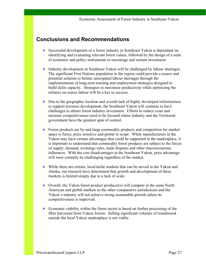### **Conclusions and Recommendations**

- $\triangleright$  Successful development of a forest industry in Southeast Yukon is dependant on identifying and evaluating relevant forest values, followed by the design of a suite of economic and policy instruments to encourage and sustain investment.
- $\triangleright$  Industry development in Southeast Yukon will be challenged by labour shortages. The significant First Nations population in the region could provide a source and potential solution to bolster anticipated labour shortages through the implementation of long-term training and employment strategies designed to build skills capacity. Strategies to maximize productivity while optimizing the reliance on scarce labour will be a key to success.
- $\triangleright$  Due to the geographic location and overall lack of highly developed infrastructure to support resource development, the Southeast Yukon will continue to have challenges to attract forest industry investment. Efforts to reduce costs and increase competitiveness need to be focused where industry and the Territorial government have the greatest span of control.
- $\triangleright$  Forest products are by and large commodity products and competition for market space is fierce, price sensitive and global in scope. While manufacturers in the Yukon may have certain advantages that could be supported in the marketplace, it is important to understand that commodity forest products are subject to the forces of supply, demand, exchange rates, trade disputes and other macroeconomic influences. With the cost disadvantages in the Southeast Yukon, price advantage will most certainly be challenging regardless of the market.
- $\triangleright$  While there are certain, local/niche markets that can be served in the Yukon and Alaska, our research have determined that growth and development of these markets is limited simply due to a lack of scale.
- $\triangleright$  Overall, the Yukon forest product producer(s) will compete in the same North American and global markets as the other comparative jurisdictions and the Yukon's industry will not achieve strong sustainable growth unless its competitiveness is improved.
- $\triangleright$  Economic viability within the forest sector is based on further processing of the fibre harvested from Yukon forests. Selling significant volumes of roundwood outside the local Yukon marketplace is not viable.